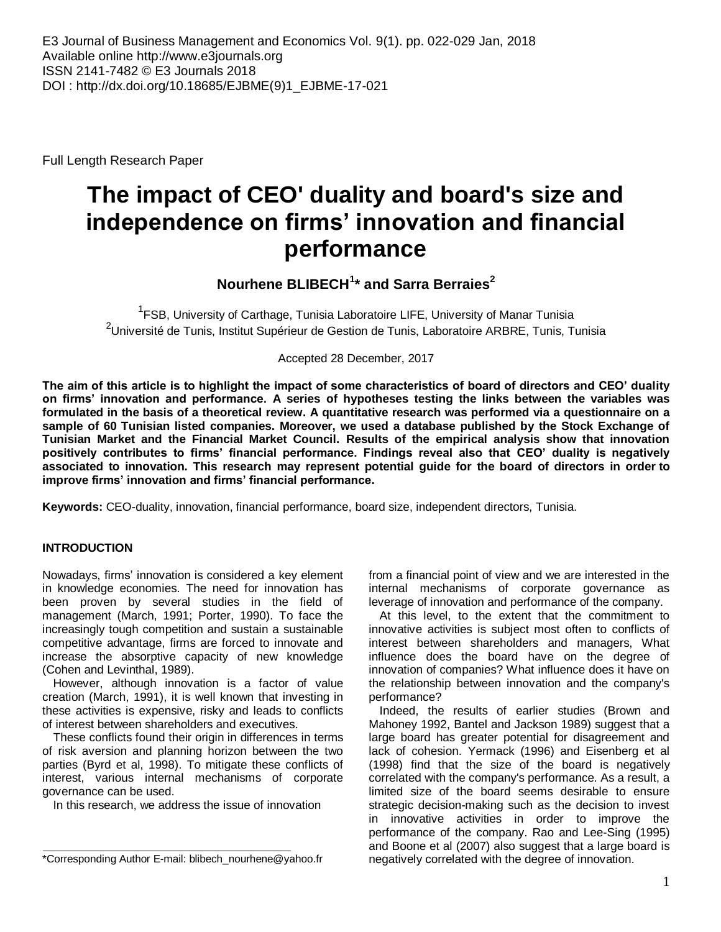Full Length Research Paper

# **The impact of CEO' duality and board's size and independence on firms' innovation and financial performance**

## **Nourhene BLIBECH<sup>1</sup> \* and Sarra Berraies<sup>2</sup>**

<sup>1</sup>FSB, University of Carthage, Tunisia Laboratoire LIFE, University of Manar Tunisia <sup>2</sup>Université de Tunis, Institut Supérieur de Gestion de Tunis, Laboratoire ARBRE, Tunis, Tunisia

Accepted 28 December, 2017

**The aim of this article is to highlight the impact of some characteristics of board of directors and CEO' duality on firms' innovation and performance. A series of hypotheses testing the links between the variables was formulated in the basis of a theoretical review. A quantitative research was performed via a questionnaire on a sample of 60 Tunisian listed companies. Moreover, we used a database published by the Stock Exchange of Tunisian Market and the Financial Market Council. Results of the empirical analysis show that innovation positively contributes to firms' financial performance. Findings reveal also that CEO' duality is negatively associated to innovation. This research may represent potential guide for the board of directors in order to improve firms' innovation and firms' financial performance.**

**Keywords:** CEO-duality, innovation, financial performance, board size, independent directors, Tunisia.

## **INTRODUCTION**

Nowadays, firms' innovation is considered a key element in knowledge economies. The need for innovation has been proven by several studies in the field of management (March, 1991; Porter, 1990). To face the increasingly tough competition and sustain a sustainable competitive advantage, firms are forced to innovate and increase the absorptive capacity of new knowledge (Cohen and Levinthal, 1989).

However, although innovation is a factor of value creation (March, 1991), it is well known that investing in these activities is expensive, risky and leads to conflicts of interest between shareholders and executives.

These conflicts found their origin in differences in terms of risk aversion and planning horizon between the two parties (Byrd et al, 1998). To mitigate these conflicts of interest, various internal mechanisms of corporate governance can be used.

In this research, we address the issue of innovation

from a financial point of view and we are interested in the internal mechanisms of corporate governance as leverage of innovation and performance of the company.

At this level, to the extent that the commitment to innovative activities is subject most often to conflicts of interest between shareholders and managers, What influence does the board have on the degree of innovation of companies? What influence does it have on the relationship between innovation and the company's performance?

Indeed, the results of earlier studies (Brown and Mahoney 1992, Bantel and Jackson 1989) suggest that a large board has greater potential for disagreement and lack of cohesion. Yermack (1996) and Eisenberg et al (1998) find that the size of the board is negatively correlated with the company's performance. As a result, a limited size of the board seems desirable to ensure strategic decision-making such as the decision to invest in innovative activities in order to improve the performance of the company. Rao and Lee-Sing (1995) and Boone et al (2007) also suggest that a large board is negatively correlated with the degree of innovation.

<sup>\*</sup>Corresponding Author E-mail: blibech\_nourhene@yahoo.fr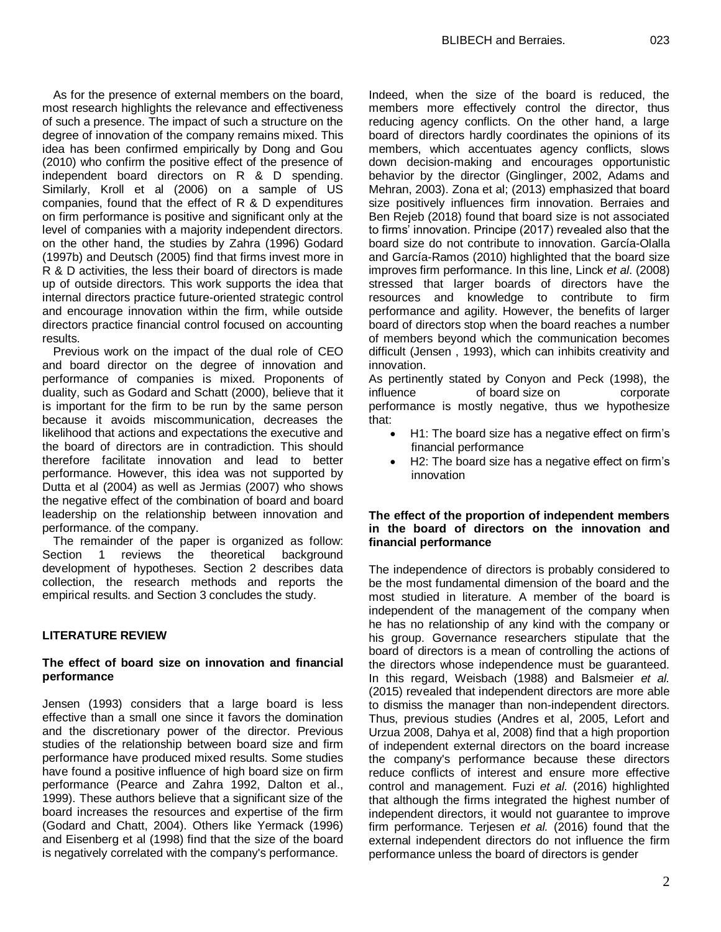As for the presence of external members on the board, most research highlights the relevance and effectiveness of such a presence. The impact of such a structure on the degree of innovation of the company remains mixed. This idea has been confirmed empirically by Dong and Gou (2010) who confirm the positive effect of the presence of independent board directors on R & D spending. Similarly, Kroll et al (2006) on a sample of US companies, found that the effect of R & D expenditures on firm performance is positive and significant only at the level of companies with a majority independent directors. on the other hand, the studies by Zahra (1996) Godard (1997b) and Deutsch (2005) find that firms invest more in R & D activities, the less their board of directors is made up of outside directors. This work supports the idea that internal directors practice future-oriented strategic control and encourage innovation within the firm, while outside directors practice financial control focused on accounting results.

Previous work on the impact of the dual role of CEO and board director on the degree of innovation and performance of companies is mixed. Proponents of duality, such as Godard and Schatt (2000), believe that it is important for the firm to be run by the same person because it avoids miscommunication, decreases the likelihood that actions and expectations the executive and the board of directors are in contradiction. This should therefore facilitate innovation and lead to better performance. However, this idea was not supported by Dutta et al (2004) as well as Jermias (2007) who shows the negative effect of the combination of board and board leadership on the relationship between innovation and performance. of the company.

The remainder of the paper is organized as follow: Section 1 reviews the theoretical background development of hypotheses. Section 2 describes data collection, the research methods and reports the empirical results. and Section 3 concludes the study.

#### **LITERATURE REVIEW**

#### **The effect of board size on innovation and financial performance**

Jensen (1993) considers that a large board is less effective than a small one since it favors the domination and the discretionary power of the director. Previous studies of the relationship between board size and firm performance have produced mixed results. Some studies have found a positive influence of high board size on firm performance (Pearce and Zahra 1992, Dalton et al., 1999). These authors believe that a significant size of the board increases the resources and expertise of the firm (Godard and Chatt, 2004). Others like Yermack (1996) and Eisenberg et al (1998) find that the size of the board is negatively correlated with the company's performance.

Indeed, when the size of the board is reduced, the members more effectively control the director, thus reducing agency conflicts. On the other hand, a large board of directors hardly coordinates the opinions of its members, which accentuates agency conflicts, slows down decision-making and encourages opportunistic behavior by the director (Ginglinger, 2002, Adams and Mehran, 2003). Zona et al; (2013) emphasized that board size positively influences firm innovation. Berraies and Ben Rejeb (2018) found that board size is not associated to firms' innovation. Principe (2017) revealed also that the board size do not contribute to innovation. García-Olalla and García-Ramos (2010) highlighted that the board size improves firm performance. In this line, Linck *et al*. (2008) stressed that larger boards of directors have the resources and knowledge to contribute to firm performance and agility. However, the benefits of larger board of directors stop when the board reaches a number of members beyond which the communication becomes difficult (Jensen , 1993), which can inhibits creativity and innovation.

As pertinently stated by Conyon and Peck (1998), the influence of board size on corporate performance is mostly negative, thus we hypothesize that:

- H1: The board size has a negative effect on firm's financial performance
- H2: The board size has a negative effect on firm's innovation

#### **The effect of the proportion of independent members in the board of directors on the innovation and financial performance**

The independence of directors is probably considered to be the most fundamental dimension of the board and the most studied in literature. A member of the board is independent of the management of the company when he has no relationship of any kind with the company or his group. Governance researchers stipulate that the board of directors is a mean of controlling the actions of the directors whose independence must be guaranteed. In this regard, Weisbach (1988) and Balsmeier *et al.* (2015) revealed that independent directors are more able to dismiss the manager than non-independent directors. Thus, previous studies (Andres et al, 2005, Lefort and Urzua 2008, Dahya et al, 2008) find that a high proportion of independent external directors on the board increase the company's performance because these directors reduce conflicts of interest and ensure more effective control and management. Fuzi *et al.* (2016) highlighted that although the firms integrated the highest number of independent directors, it would not guarantee to improve firm performance. Terjesen *et al.* (2016) found that the external independent directors do not influence the firm performance unless the board of directors is gender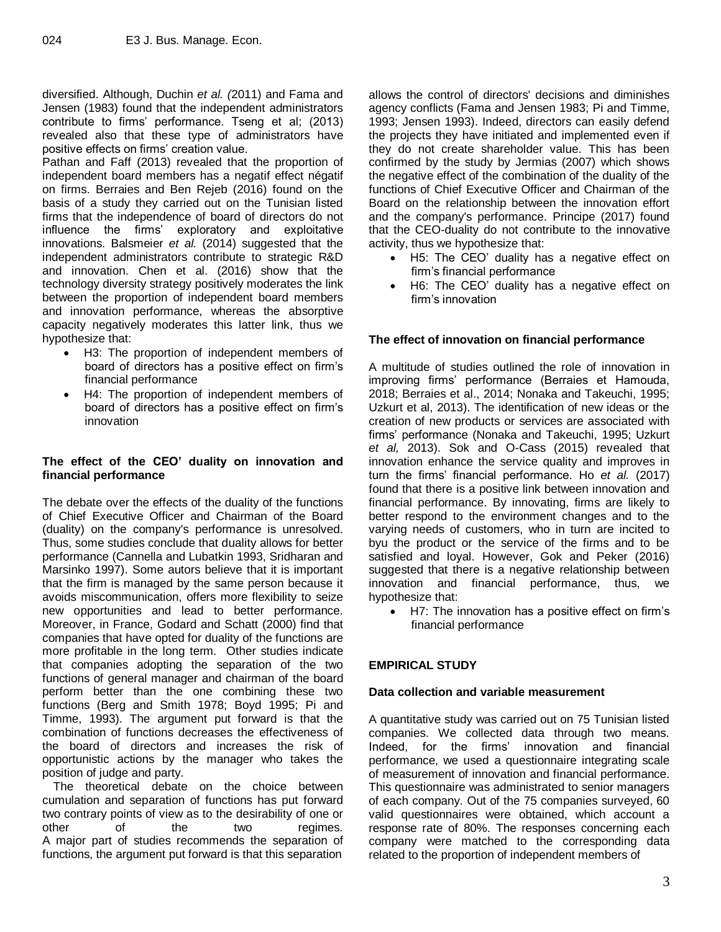diversified. Although, Duchin *et al. (*2011) and Fama and Jensen (1983) found that the independent administrators contribute to firms' performance. Tseng et al; (2013) revealed also that these type of administrators have positive effects on firms' creation value.

Pathan and Faff (2013) revealed that the proportion of independent board members has a negatif effect négatif on firms. Berraies and Ben Rejeb (2016) found on the basis of a study they carried out on the Tunisian listed firms that the independence of board of directors do not influence the firms' exploratory and exploitative innovations. Balsmeier *et al.* (2014) suggested that the independent administrators contribute to strategic R&D and innovation. Chen et al. (2016) show that the technology diversity strategy positively moderates the link between the proportion of independent board members and innovation performance, whereas the absorptive capacity negatively moderates this latter link, thus we hypothesize that:

- H3: The proportion of independent members of board of directors has a positive effect on firm's financial performance
- H4: The proportion of independent members of board of directors has a positive effect on firm's innovation

## **The effect of the CEO' duality on innovation and financial performance**

The debate over the effects of the duality of the functions of Chief Executive Officer and Chairman of the Board (duality) on the company's performance is unresolved. Thus, some studies conclude that duality allows for better performance (Cannella and Lubatkin 1993, Sridharan and Marsinko 1997). Some autors believe that it is important that the firm is managed by the same person because it avoids miscommunication, offers more flexibility to seize new opportunities and lead to better performance. Moreover, in France, Godard and Schatt (2000) find that companies that have opted for duality of the functions are more profitable in the long term. Other studies indicate that companies adopting the separation of the two functions of general manager and chairman of the board perform better than the one combining these two functions (Berg and Smith 1978; Boyd 1995; Pi and Timme, 1993). The argument put forward is that the combination of functions decreases the effectiveness of the board of directors and increases the risk of opportunistic actions by the manager who takes the position of judge and party.

The theoretical debate on the choice between cumulation and separation of functions has put forward two contrary points of view as to the desirability of one or other of the two regimes. A major part of studies recommends the separation of functions, the argument put forward is that this separation

allows the control of directors' decisions and diminishes agency conflicts (Fama and Jensen 1983; Pi and Timme, 1993; Jensen 1993). Indeed, directors can easily defend the projects they have initiated and implemented even if they do not create shareholder value. This has been confirmed by the study by Jermias (2007) which shows the negative effect of the combination of the duality of the functions of Chief Executive Officer and Chairman of the Board on the relationship between the innovation effort and the company's performance. Principe (2017) found that the CEO-duality do not contribute to the innovative activity, thus we hypothesize that:

- H5: The CEO' duality has a negative effect on firm's financial performance
- H6: The CEO' duality has a negative effect on firm's innovation

## **The effect of innovation on financial performance**

A multitude of studies outlined the role of innovation in improving firms' performance (Berraies et Hamouda, 2018; Berraies et al., 2014; Nonaka and Takeuchi, 1995; Uzkurt et al, 2013). The identification of new ideas or the creation of new products or services are associated with firms' performance (Nonaka and Takeuchi, 1995; Uzkurt *et al,* 2013). Sok and O-Cass (2015) revealed that innovation enhance the service quality and improves in turn the firms' financial performance. Ho *et al.* (2017) found that there is a positive link between innovation and financial performance. By innovating, firms are likely to better respond to the environment changes and to the varying needs of customers, who in turn are incited to byu the product or the service of the firms and to be satisfied and loyal. However, Gok and Peker (2016) suggested that there is a negative relationship between innovation and financial performance, thus, we hypothesize that:

 H7: The innovation has a positive effect on firm's financial performance

## **EMPIRICAL STUDY**

## **Data collection and variable measurement**

A quantitative study was carried out on 75 Tunisian listed companies. We collected data through two means. Indeed, for the firms' innovation and financial performance, we used a questionnaire integrating scale of measurement of innovation and financial performance. This questionnaire was administrated to senior managers of each company. Out of the 75 companies surveyed, 60 valid questionnaires were obtained, which account a response rate of 80%. The responses concerning each company were matched to the corresponding data related to the proportion of independent members of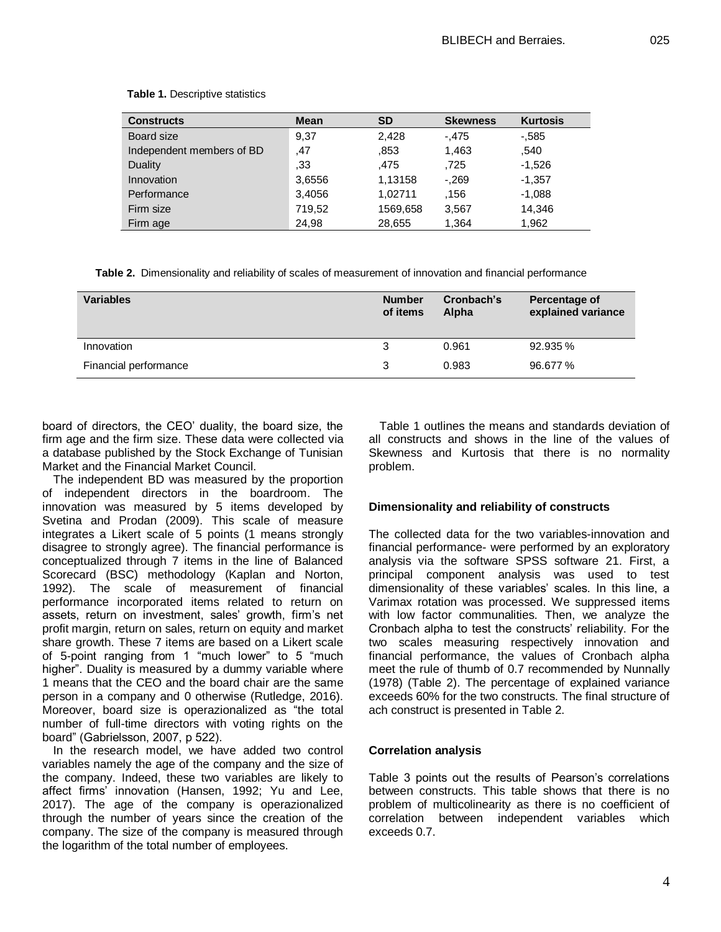| <b>Constructs</b>         | <b>Mean</b> | <b>SD</b> | <b>Skewness</b> | <b>Kurtosis</b> |
|---------------------------|-------------|-----------|-----------------|-----------------|
| Board size                | 9,37        | 2,428     | $-.475$         | $-0.585$        |
| Independent members of BD | ,47         | .853      | 1,463           | .540            |
| <b>Duality</b>            | .33         | .475      | .725            | $-1,526$        |
| Innovation                | 3,6556      | 1,13158   | $-.269$         | $-1,357$        |
| Performance               | 3,4056      | 1,02711   | .156            | $-1,088$        |
| Firm size                 | 719,52      | 1569,658  | 3,567           | 14,346          |
| Firm age                  | 24.98       | 28.655    | 1,364           | 1,962           |

**Table 1.** Descriptive statistics

**Table 2.** Dimensionality and reliability of scales of measurement of innovation and financial performance

| <b>Variables</b>      | <b>Number</b><br>of items | Cronbach's<br>Alpha | Percentage of<br>explained variance |
|-----------------------|---------------------------|---------------------|-------------------------------------|
| Innovation            |                           | 0.961               | 92.935 %                            |
| Financial performance | 3                         | 0.983               | 96.677 %                            |

board of directors, the CEO' duality, the board size, the firm age and the firm size. These data were collected via a database published by the Stock Exchange of Tunisian Market and the Financial Market Council.

The independent BD was measured by the proportion of independent directors in the boardroom. The innovation was measured by 5 items developed by Svetina and Prodan (2009). This scale of measure integrates a Likert scale of 5 points (1 means strongly disagree to strongly agree). The financial performance is conceptualized through 7 items in the line of Balanced Scorecard (BSC) methodology (Kaplan and Norton, 1992). The scale of measurement of financial performance incorporated items related to return on assets, return on investment, sales' growth, firm's net profit margin, return on sales, return on equity and market share growth. These 7 items are based on a Likert scale of 5-point ranging from 1 "much lower" to 5 "much higher". Duality is measured by a dummy variable where 1 means that the CEO and the board chair are the same person in a company and 0 otherwise (Rutledge, 2016). Moreover, board size is operazionalized as "the total number of full-time directors with voting rights on the board" (Gabrielsson, 2007, p 522).

In the research model, we have added two control variables namely the age of the company and the size of the company. Indeed, these two variables are likely to affect firms' innovation (Hansen, 1992; Yu and Lee, 2017). The age of the company is operazionalized through the number of years since the creation of the company. The size of the company is measured through the logarithm of the total number of employees.

Table 1 outlines the means and standards deviation of all constructs and shows in the line of the values of Skewness and Kurtosis that there is no normality problem.

## **Dimensionality and reliability of constructs**

The collected data for the two variables-innovation and financial performance- were performed by an exploratory analysis via the software SPSS software 21. First, a principal component analysis was used to test dimensionality of these variables' scales. In this line, a Varimax rotation was processed. We suppressed items with low factor communalities. Then, we analyze the Cronbach alpha to test the constructs' reliability. For the two scales measuring respectively innovation and financial performance, the values of Cronbach alpha meet the rule of thumb of 0.7 recommended by Nunnally (1978) (Table 2). The percentage of explained variance exceeds 60% for the two constructs. The final structure of ach construct is presented in Table 2.

#### **Correlation analysis**

Table 3 points out the results of Pearson's correlations between constructs. This table shows that there is no problem of multicolinearity as there is no coefficient of correlation between independent variables which exceeds 0.7.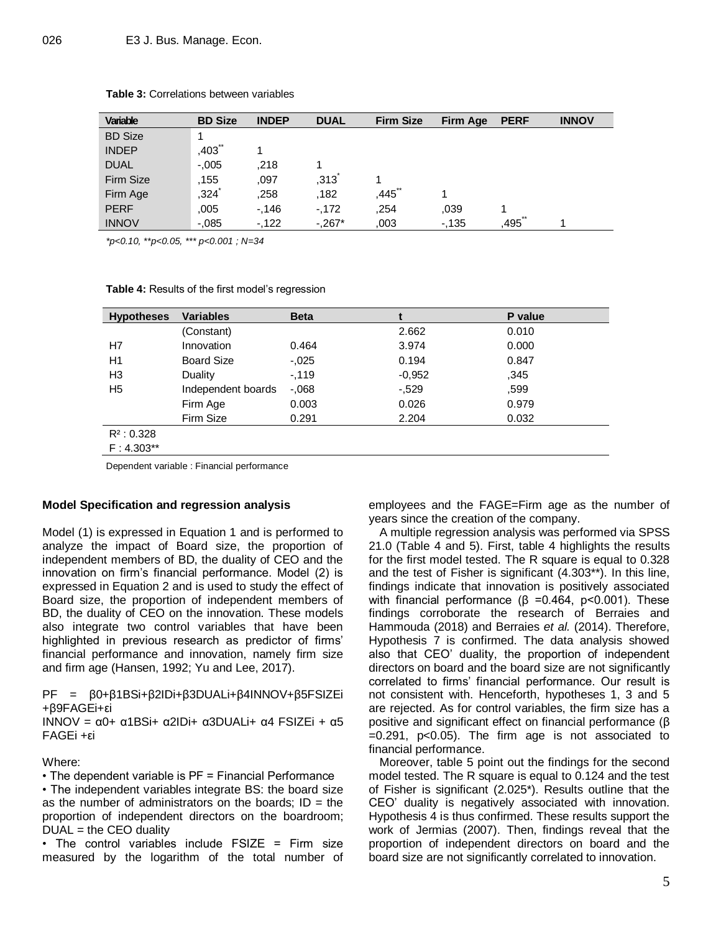| <b>Variable</b> | <b>BD Size</b> | <b>INDEP</b> | <b>DUAL</b> | <b>Firm Size</b> | Firm Age | <b>PERF</b> | <b>INNOV</b> |
|-----------------|----------------|--------------|-------------|------------------|----------|-------------|--------------|
| <b>BD</b> Size  | 1              |              |             |                  |          |             |              |
| <b>INDEP</b>    | $***$<br>.403  |              |             |                  |          |             |              |
| <b>DUAL</b>     | $-.005$        | .218         |             |                  |          |             |              |
| Firm Size       | .155           | ,097         | ,313        |                  |          |             |              |
| Firm Age        | ,324           | ,258         | .182        | .445             |          |             |              |
| <b>PERF</b>     | .005           | $-146$       | $-172$      | .254             | .039     |             |              |
| <b>INNOV</b>    | $-0.085$       | $-122$       | $-.267*$    | .003             | $-135$   | 495         |              |

#### **Table 3:** Correlations between variables

*\*p<0.10, \*\*p<0.05, \*\*\* p<0.001 ; N=34*

**Table 4:** Results of the first model's regression

| <b>Hypotheses</b> | <b>Variables</b>   | <b>Beta</b> |          | P value |
|-------------------|--------------------|-------------|----------|---------|
|                   | (Constant)         |             | 2.662    | 0.010   |
| H7                | Innovation         | 0.464       | 3.974    | 0.000   |
| H1                | <b>Board Size</b>  | $-.025$     | 0.194    | 0.847   |
| H3                | Duality            | $-.119$     | $-0.952$ | .345    |
| H5                | Independent boards | $-0.068$    | $-.529$  | .599    |
|                   | Firm Age           | 0.003       | 0.026    | 0.979   |
|                   | Firm Size          | 0.291       | 2.204    | 0.032   |
| $R^2$ : 0.328     |                    |             |          |         |
| $F: 4.303**$      |                    |             |          |         |

Dependent variable : Financial performance

#### **Model Specification and regression analysis**

Model (1) is expressed in Equation 1 and is performed to analyze the impact of Board size, the proportion of independent members of BD, the duality of CEO and the innovation on firm's financial performance. Model (2) is expressed in Equation 2 and is used to study the effect of Board size, the proportion of independent members of BD, the duality of CEO on the innovation. These models also integrate two control variables that have been highlighted in previous research as predictor of firms' financial performance and innovation, namely firm size and firm age (Hansen, 1992; Yu and Lee, 2017).

PF = β0+β1BSi+β2IDi+β3DUALi+β4INNOV+β5FSIZEi +β9FAGEi+εi

INNOV = α0+ α1BSi+ α2IDi+ α3DUALi+ α4 FSIZEi + α5 FAGEi +εi

Where:

• The dependent variable is PF = Financial Performance

• The independent variables integrate BS: the board size as the number of administrators on the boards;  $ID = the$ proportion of independent directors on the boardroom;  $DUAL =$  the CEO duality

• The control variables include FSIZE = Firm size measured by the logarithm of the total number of employees and the FAGE=Firm age as the number of years since the creation of the company.

A multiple regression analysis was performed via SPSS 21.0 (Table 4 and 5). First, table 4 highlights the results for the first model tested. The R square is equal to 0.328 and the test of Fisher is significant (4.303\*\*). In this line, findings indicate that innovation is positively associated with financial performance ( $β =0.464$ ,  $p < 0.001$ ). These findings corroborate the research of Berraies and Hammouda (2018) and Berraies *et al.* (2014). Therefore, Hypothesis 7 is confirmed. The data analysis showed also that CEO' duality, the proportion of independent directors on board and the board size are not significantly correlated to firms' financial performance. Our result is not consistent with. Henceforth, hypotheses 1, 3 and 5 are rejected. As for control variables, the firm size has a positive and significant effect on financial performance (β =0.291, p<0.05). The firm age is not associated to financial performance.

Moreover, table 5 point out the findings for the second model tested. The R square is equal to 0.124 and the test of Fisher is significant (2.025\*). Results outline that the CEO' duality is negatively associated with innovation. Hypothesis 4 is thus confirmed. These results support the work of Jermias (2007). Then, findings reveal that the proportion of independent directors on board and the board size are not significantly correlated to innovation.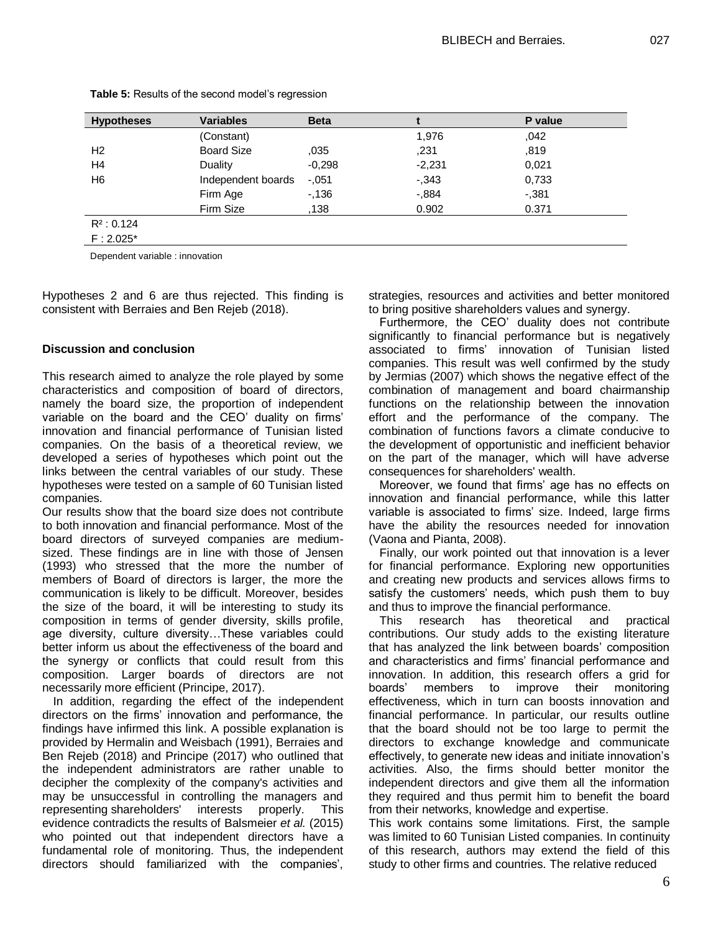| <b>Hypotheses</b> | <b>Variables</b>   | <b>Beta</b> |          | P value  |
|-------------------|--------------------|-------------|----------|----------|
|                   | (Constant)         |             | 1,976    | 042      |
| H <sub>2</sub>    | <b>Board Size</b>  | .035        | .231     | .819     |
| H <sub>4</sub>    | Duality            | $-0,298$    | $-2,231$ | 0,021    |
| H <sub>6</sub>    | Independent boards | $-.051$     | $-0.343$ | 0.733    |
|                   | Firm Age           | $-136$      | $-0.884$ | $-0.381$ |
|                   | Firm Size          | 138         | 0.902    | 0.371    |
| $R^2$ : 0.124     |                    |             |          |          |
| $F: 2.025*$       |                    |             |          |          |

**Table 5:** Results of the second model's regression

Dependent variable : innovation

Hypotheses 2 and 6 are thus rejected. This finding is consistent with Berraies and Ben Rejeb (2018).

#### **Discussion and conclusion**

This research aimed to analyze the role played by some characteristics and composition of board of directors, namely the board size, the proportion of independent variable on the board and the CEO' duality on firms' innovation and financial performance of Tunisian listed companies. On the basis of a theoretical review, we developed a series of hypotheses which point out the links between the central variables of our study. These hypotheses were tested on a sample of 60 Tunisian listed companies.

Our results show that the board size does not contribute to both innovation and financial performance. Most of the board directors of surveyed companies are mediumsized. These findings are in line with those of Jensen (1993) who stressed that the more the number of members of Board of directors is larger, the more the communication is likely to be difficult. Moreover, besides the size of the board, it will be interesting to study its composition in terms of gender diversity, skills profile, age diversity, culture diversity…These variables could better inform us about the effectiveness of the board and the synergy or conflicts that could result from this composition. Larger boards of directors are not necessarily more efficient (Principe, 2017).

In addition, regarding the effect of the independent directors on the firms' innovation and performance, the findings have infirmed this link. A possible explanation is provided by Hermalin and Weisbach (1991), Berraies and Ben Rejeb (2018) and Principe (2017) who outlined that the independent administrators are rather unable to decipher the complexity of the company's activities and may be unsuccessful in controlling the managers and representing shareholders' interests properly. This evidence contradicts the results of Balsmeier *et al.* (2015) who pointed out that independent directors have a fundamental role of monitoring. Thus, the independent directors should familiarized with the companies',

strategies, resources and activities and better monitored to bring positive shareholders values and synergy.

Furthermore, the CEO' duality does not contribute significantly to financial performance but is negatively associated to firms' innovation of Tunisian listed companies. This result was well confirmed by the study by Jermias (2007) which shows the negative effect of the combination of management and board chairmanship functions on the relationship between the innovation effort and the performance of the company. The combination of functions favors a climate conducive to the development of opportunistic and inefficient behavior on the part of the manager, which will have adverse consequences for shareholders' wealth.

Moreover, we found that firms' age has no effects on innovation and financial performance, while this latter variable is associated to firms' size. Indeed, large firms have the ability the resources needed for innovation (Vaona and Pianta, 2008).

Finally, our work pointed out that innovation is a lever for financial performance. Exploring new opportunities and creating new products and services allows firms to satisfy the customers' needs, which push them to buy and thus to improve the financial performance.

This research has theoretical and practical contributions. Our study adds to the existing literature that has analyzed the link between boards' composition and characteristics and firms' financial performance and innovation. In addition, this research offers a grid for boards' members to improve their monitoring effectiveness, which in turn can boosts innovation and financial performance. In particular, our results outline that the board should not be too large to permit the directors to exchange knowledge and communicate effectively, to generate new ideas and initiate innovation's activities. Also, the firms should better monitor the independent directors and give them all the information they required and thus permit him to benefit the board from their networks, knowledge and expertise.

This work contains some limitations. First, the sample was limited to 60 Tunisian Listed companies. In continuity of this research, authors may extend the field of this study to other firms and countries. The relative reduced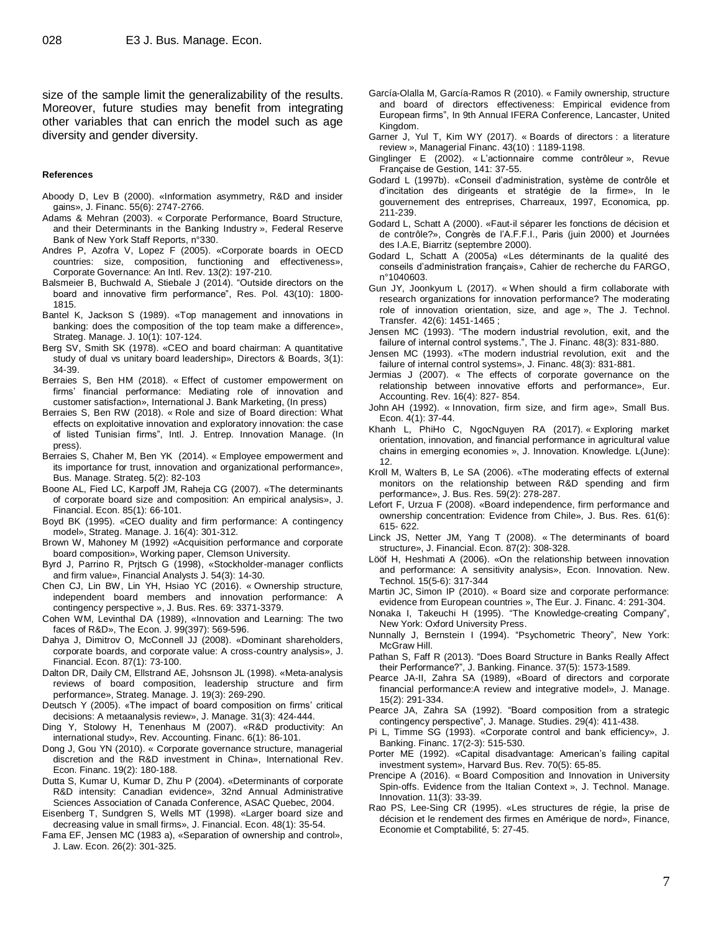size of the sample limit the generalizability of the results. Moreover, future studies may benefit from integrating other variables that can enrich the model such as age diversity and gender diversity.

#### **References**

- Aboody D, Lev B (2000). «Information asymmetry, R&D and insider gains», J. Financ. 55(6): 2747-2766.
- Adams & Mehran (2003). « Corporate Performance, Board Structure, and their Determinants in the Banking Industry », Federal Reserve Bank of New York Staff Reports, n°330.
- Andres P, Azofra V, Lopez F (2005). «Corporate boards in OECD countries: size, composition, functioning and effectiveness», Corporate Governance: An Intl. Rev. 13(2): 197-210.
- Balsmeier B, Buchwald A, Stiebale J (2014). "Outside directors on the board and innovative firm performance", Res. Pol. 43(10): 1800- 1815.
- Bantel K, Jackson S (1989). «Top management and innovations in banking: does the composition of the top team make a difference», Strateg. Manage. J. 10(1): 107-124.
- Berg SV, Smith SK (1978). «CEO and board chairman: A quantitative study of dual vs unitary board leadership», Directors & Boards, 3(1): 34-39.
- Berraies S, Ben HM (2018). « Effect of customer empowerment on firms' financial performance: Mediating role of innovation and customer satisfaction», International J. Bank Marketing, (In press)
- Berraies S, Ben RW (2018). « Role and size of Board direction: What effects on exploitative innovation and exploratory innovation: the case of listed Tunisian firms", Intl. J. Entrep. Innovation Manage. (In press).
- Berraies S, Chaher M, Ben YK (2014). « Employee empowerment and its importance for trust, innovation and organizational performance», Bus. Manage. Strateg. 5(2): 82-103
- Boone AL, Fied LC, Karpoff JM, Raheja CG (2007). «The determinants of corporate board size and composition: An empirical analysis», J. Financial. Econ. 85(1): 66-101.
- Boyd BK (1995). «CEO duality and firm performance: A contingency model», Strateg. Manage. J. 16(4): 301-312.
- Brown W, Mahoney M (1992) «Acquisition performance and corporate board composition», Working paper, Clemson University.
- Byrd J, Parrino R, Prjtsch G (1998), «Stockholder-manager conflicts and firm value», Financial Analysts J. 54(3): 14-30.
- Chen CJ, Lin BW, Lin YH, Hsiao YC (2016). « Ownership structure, independent board members and innovation performance: A contingency perspective », J. Bus. Res. 69: 3371-3379.
- Cohen WM, Levinthal DA (1989), «Innovation and Learning: The two faces of R&D», The Econ. J. 99(397): 569-596.
- Dahya J, Dimitrov O, McConnell JJ (2008). «Dominant shareholders, corporate boards, and corporate value: A cross-country analysis», J. Financial. Econ. 87(1): 73-100.
- Dalton DR, Daily CM, Ellstrand AE, Johsnson JL (1998). «Meta-analysis reviews of board composition, leadership structure and firm performance», Strateg. Manage. J. 19(3): 269-290.
- Deutsch Y (2005). «The impact of board composition on firms' critical decisions: A metaanalysis review», J. Manage. 31(3): 424-444.
- Ding Y, Stolowy H, Tenenhaus M (2007). «R&D productivity: An international study», Rev. Accounting. Financ. 6(1): 86-101.
- Dong J, Gou YN (2010). « Corporate governance structure, managerial discretion and the R&D investment in China», International Rev. Econ. Financ. 19(2): 180-188.
- Dutta S, Kumar U, Kumar D, Zhu P (2004). «Determinants of corporate R&D intensity: Canadian evidence», 32nd Annual Administrative Sciences Association of Canada Conference, ASAC Quebec, 2004.
- Eisenberg T, Sundgren S, Wells MT (1998). «Larger board size and decreasing value in small firms», J. Financial. Econ. 48(1): 35-54.
- Fama EF, Jensen MC (1983 a), «Separation of ownership and control», J. Law. Econ. 26(2): 301-325.
- García-Olalla M, García-Ramos R (2010). « Family ownership, structure and board of directors effectiveness: Empirical evidence from European firms", In 9th Annual IFERA Conference, Lancaster, United Kingdom.
- Garner J, Yul T, Kim WY (2017). « Boards of directors : a literature review », Managerial Financ. 43(10) : 1189-1198.
- Ginglinger E (2002). « L'actionnaire comme contrôleur », Revue Française de Gestion, 141: 37-55.
- Godard L (1997b). «Conseil d'administration, système de contrôle et d'incitation des dirigeants et stratégie de la firme», In le gouvernement des entreprises, Charreaux, 1997, Economica, pp. 211-239.
- Godard L, Schatt A (2000). «Faut-il séparer les fonctions de décision et de contrôle?», Congrès de l'A.F.F.I., Paris (juin 2000) et Journées des I.A.E, Biarritz (septembre 2000).
- Godard L, Schatt A (2005a) «Les déterminants de la qualité des conseils d'administration français», Cahier de recherche du FARGO, n°1040603.
- Gun JY, Joonkyum L (2017). « When should a firm collaborate with research organizations for innovation performance? The moderating role of innovation orientation, size, and age », The J. Technol. Transfer. 42(6): 1451-1465 ;
- Jensen MC (1993). "The modern industrial revolution, exit, and the failure of internal control systems.", The J. Financ. 48(3): 831-880.
- Jensen MC (1993). «The modern industrial revolution, exit and the failure of internal control systems», J. Financ. 48(3): 831-881.
- Jermias J (2007). « The effects of corporate governance on the relationship between innovative efforts and performance», Eur. Accounting. Rev. 16(4): 827- 854.
- John AH (1992). « Innovation, firm size, and firm age», Small Bus. Econ. 4(1): 37-44.
- [Khanh L, PhiHo](https://www.sciencedirect.com/science/article/pii/S2444569X17300306#!) C, [NgocNguyen RA](https://www.sciencedirect.com/science/article/pii/S2444569X17300306#!) (2017). « Exploring market orientation, innovation, and financial performance in agricultural value chains in emerging economies », J. Innovation. [Knowledge.](https://www.sciencedirect.com/science/journal/2444569X) L(June): 12.
- Kroll M, Walters B, Le SA (2006). «The moderating effects of external monitors on the relationship between R&D spending and firm performance», J. Bus. Res. 59(2): 278-287.
- Lefort F, Urzua F (2008). «Board independence, firm performance and ownership concentration: Evidence from Chile», J. Bus. Res. 61(6): 615- 622.
- Linck JS, Netter JM, Yang T (2008). « The determinants of board structure», J. Financial. Econ. 87(2): 308-328.
- Lööf H, Heshmati A (2006). «On the relationship between innovation and performance: A sensitivity analysis», Econ. Innovation. New. Technol. 15(5-6): 317-344
- [Martin JC,](http://www.tandfonline.com/author/Conyon%2C+Martin+J) [Simon IP](http://www.tandfonline.com/author/Peck%2C+Simon+I) (2010). « Board size and corporate performance: evidence from European countries », The Eur. J. Financ. 4: 291-304.
- Nonaka I, Takeuchi H (1995). "The Knowledge-creating Company", New York: Oxford University Press.
- Nunnally J, Bernstein I (1994). "Psychometric Theory", New York: McGraw Hill.
- Pathan S, Faff R (2013). "Does Board Structure in Banks Really Affect their Performance?", J. Banking. Finance. 37(5): 1573-1589.
- Pearce JA-II, Zahra SA (1989), «Board of directors and corporate financial performance:A review and integrative model», J. Manage. 15(2): 291-334.
- Pearce JA, Zahra SA (1992). "Board composition from a strategic contingency perspective", J. Manage. Studies. 29(4): 411-438.
- Pi L, Timme SG (1993). «Corporate control and bank efficiency», J. Banking. Financ. 17(2-3): 515-530.
- Porter ME (1992). «Capital disadvantage: American's failing capital investment system», Harvard Bus. Rev. 70(5): 65-85.
- Prencipe A (2016). « Board Composition and Innovation in University Spin-offs. Evidence from the Italian Context », J. Technol. Manage. Innovation. 11(3): 33-39.
- Rao PS, Lee-Sing CR (1995). «Les structures de régie, la prise de décision et le rendement des firmes en Amérique de nord», Finance, Economie et Comptabilité, 5: 27-45.